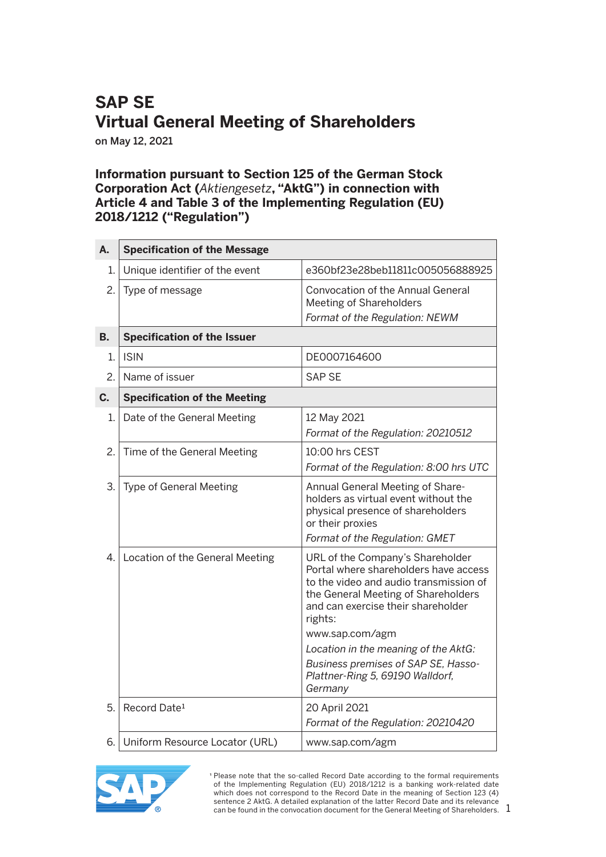## **SAP SE Virtual General Meeting of Shareholders**

on May 12, 2021

## **Information pursuant to Section 125 of the German Stock Corporation Act (***Aktiengesetz***, "AktG") in connection with Article 4 and Table 3 of the Implementing Regulation (EU) 2018/1212 ("Regulation")**

| А. | <b>Specification of the Message</b> |                                                                                                                                                                                                                                                                                                                                                              |
|----|-------------------------------------|--------------------------------------------------------------------------------------------------------------------------------------------------------------------------------------------------------------------------------------------------------------------------------------------------------------------------------------------------------------|
| 1. | Unique identifier of the event      | e360bf23e28beb11811c005056888925                                                                                                                                                                                                                                                                                                                             |
| 2. | Type of message                     | <b>Convocation of the Annual General</b><br>Meeting of Shareholders<br>Format of the Regulation: NEWM                                                                                                                                                                                                                                                        |
| В. | <b>Specification of the Issuer</b>  |                                                                                                                                                                                                                                                                                                                                                              |
| 1. | <b>ISIN</b>                         | DE0007164600                                                                                                                                                                                                                                                                                                                                                 |
| 2. | Name of issuer                      | <b>SAP SE</b>                                                                                                                                                                                                                                                                                                                                                |
| C. | <b>Specification of the Meeting</b> |                                                                                                                                                                                                                                                                                                                                                              |
| 1. | Date of the General Meeting         | 12 May 2021<br>Format of the Regulation: 20210512                                                                                                                                                                                                                                                                                                            |
| 2. | Time of the General Meeting         | $10:00$ hrs CEST<br>Format of the Regulation: 8:00 hrs UTC                                                                                                                                                                                                                                                                                                   |
| 3. | <b>Type of General Meeting</b>      | Annual General Meeting of Share-<br>holders as virtual event without the<br>physical presence of shareholders<br>or their proxies<br>Format of the Regulation: GMET                                                                                                                                                                                          |
| 4. | Location of the General Meeting     | URL of the Company's Shareholder<br>Portal where shareholders have access<br>to the video and audio transmission of<br>the General Meeting of Shareholders<br>and can exercise their shareholder<br>rights:<br>www.sap.com/agm<br>Location in the meaning of the AktG:<br>Business premises of SAP SE, Hasso-<br>Plattner-Ring 5, 69190 Walldorf,<br>Germany |
| 5. | Record Date <sup>1</sup>            | 20 April 2021<br>Format of the Regulation: 20210420                                                                                                                                                                                                                                                                                                          |
| 6. | Uniform Resource Locator (URL)      | www.sap.com/agm                                                                                                                                                                                                                                                                                                                                              |



<sup>1</sup> Please note that the so-called Record Date according to the formal requirements of the Implementing Regulation (EU) 2018/1212 is a banking work-related date which does not correspond to the Record Date in the meaning of Section 123 (4) sentence 2 AktG. A detailed explanation of the latter Record Date and its relevance can be found in the convocation document for the General Meeting of Shareholders.

1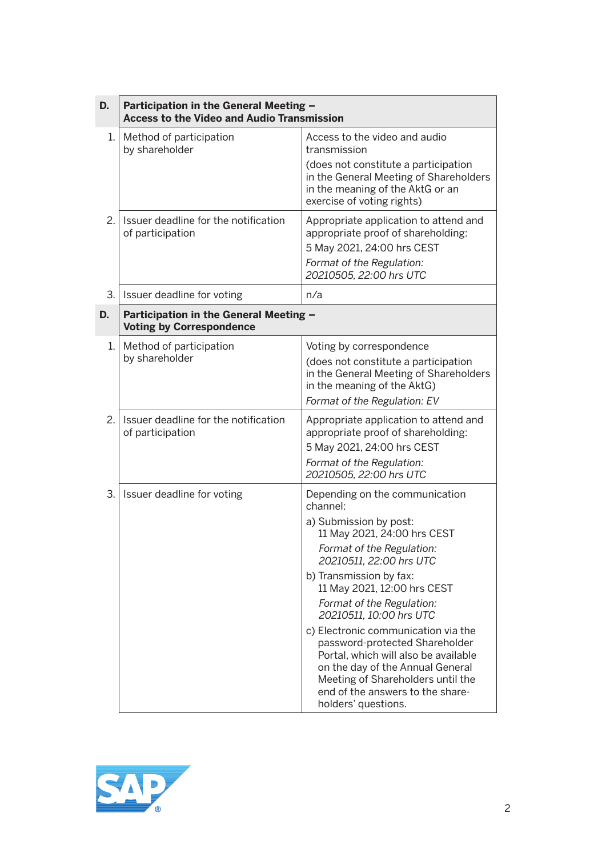| D. | Participation in the General Meeting -<br><b>Access to the Video and Audio Transmission</b> |                                                                                                                                                                                                                                                                                                                                                                                                                                                                                                                                    |  |
|----|---------------------------------------------------------------------------------------------|------------------------------------------------------------------------------------------------------------------------------------------------------------------------------------------------------------------------------------------------------------------------------------------------------------------------------------------------------------------------------------------------------------------------------------------------------------------------------------------------------------------------------------|--|
| 1. | Method of participation<br>by shareholder                                                   | Access to the video and audio<br>transmission<br>(does not constitute a participation<br>in the General Meeting of Shareholders<br>in the meaning of the AktG or an<br>exercise of voting rights)                                                                                                                                                                                                                                                                                                                                  |  |
| 2. | Issuer deadline for the notification<br>of participation                                    | Appropriate application to attend and<br>appropriate proof of shareholding:<br>5 May 2021, 24:00 hrs CEST<br>Format of the Regulation:<br>20210505, 22:00 hrs UTC                                                                                                                                                                                                                                                                                                                                                                  |  |
| 3. | Issuer deadline for voting                                                                  | n/a                                                                                                                                                                                                                                                                                                                                                                                                                                                                                                                                |  |
| D. | Participation in the General Meeting -<br><b>Voting by Correspondence</b>                   |                                                                                                                                                                                                                                                                                                                                                                                                                                                                                                                                    |  |
| 1. | Method of participation<br>by shareholder                                                   | Voting by correspondence<br>(does not constitute a participation<br>in the General Meeting of Shareholders<br>in the meaning of the AktG)<br>Format of the Regulation: EV                                                                                                                                                                                                                                                                                                                                                          |  |
| 2. | Issuer deadline for the notification<br>of participation                                    | Appropriate application to attend and<br>appropriate proof of shareholding:<br>5 May 2021, 24:00 hrs CEST<br>Format of the Regulation:<br>20210505, 22:00 hrs UTC                                                                                                                                                                                                                                                                                                                                                                  |  |
| 3. | Issuer deadline for voting                                                                  | Depending on the communication<br>channel:<br>a) Submission by post:<br>11 May 2021, 24:00 hrs CEST<br>Format of the Regulation:<br>20210511, 22:00 hrs UTC<br>b) Transmission by fax:<br>11 May 2021, 12:00 hrs CEST<br>Format of the Regulation:<br>20210511, 10:00 hrs UTC<br>c) Electronic communication via the<br>password-protected Shareholder<br>Portal, which will also be available<br>on the day of the Annual General<br>Meeting of Shareholders until the<br>end of the answers to the share-<br>holders' questions. |  |

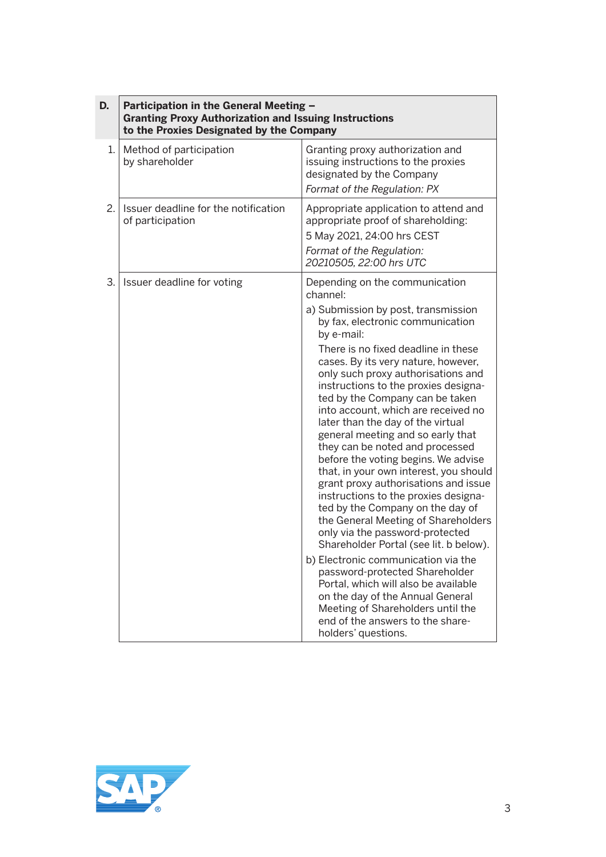| D. | Participation in the General Meeting -<br><b>Granting Proxy Authorization and Issuing Instructions</b><br>to the Proxies Designated by the Company |                                                                                                                                                                                                                                                                                                                                                                                                                                                                                                                                                                                                                                                                                                                                                                                                                                                                                                                                                                                                                                                                      |
|----|----------------------------------------------------------------------------------------------------------------------------------------------------|----------------------------------------------------------------------------------------------------------------------------------------------------------------------------------------------------------------------------------------------------------------------------------------------------------------------------------------------------------------------------------------------------------------------------------------------------------------------------------------------------------------------------------------------------------------------------------------------------------------------------------------------------------------------------------------------------------------------------------------------------------------------------------------------------------------------------------------------------------------------------------------------------------------------------------------------------------------------------------------------------------------------------------------------------------------------|
| 1. | Method of participation<br>by shareholder                                                                                                          | Granting proxy authorization and<br>issuing instructions to the proxies<br>designated by the Company<br>Format of the Regulation: PX                                                                                                                                                                                                                                                                                                                                                                                                                                                                                                                                                                                                                                                                                                                                                                                                                                                                                                                                 |
| 2. | Issuer deadline for the notification<br>of participation                                                                                           | Appropriate application to attend and<br>appropriate proof of shareholding:<br>5 May 2021, 24:00 hrs CEST<br>Format of the Regulation:<br>20210505, 22:00 hrs UTC                                                                                                                                                                                                                                                                                                                                                                                                                                                                                                                                                                                                                                                                                                                                                                                                                                                                                                    |
| 3. | Issuer deadline for voting                                                                                                                         | Depending on the communication<br>channel:<br>a) Submission by post, transmission<br>by fax, electronic communication<br>by e-mail:<br>There is no fixed deadline in these<br>cases. By its very nature, however,<br>only such proxy authorisations and<br>instructions to the proxies designa-<br>ted by the Company can be taken<br>into account, which are received no<br>later than the day of the virtual<br>general meeting and so early that<br>they can be noted and processed<br>before the voting begins. We advise<br>that, in your own interest, you should<br>grant proxy authorisations and issue<br>instructions to the proxies designa-<br>ted by the Company on the day of<br>the General Meeting of Shareholders<br>only via the password-protected<br>Shareholder Portal (see lit. b below).<br>b) Electronic communication via the<br>password-protected Shareholder<br>Portal, which will also be available<br>on the day of the Annual General<br>Meeting of Shareholders until the<br>end of the answers to the share-<br>holders' questions. |

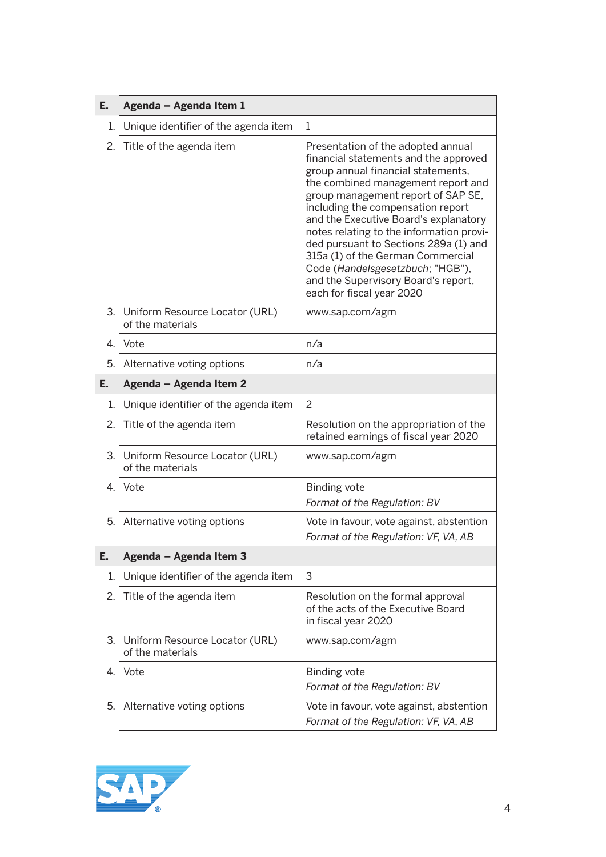| Е.               | Agenda - Agenda Item 1                             |                                                                                                                                                                                                                                                                                                                                                                                                                                                                                                               |  |
|------------------|----------------------------------------------------|---------------------------------------------------------------------------------------------------------------------------------------------------------------------------------------------------------------------------------------------------------------------------------------------------------------------------------------------------------------------------------------------------------------------------------------------------------------------------------------------------------------|--|
| 1.               | Unique identifier of the agenda item               | 1                                                                                                                                                                                                                                                                                                                                                                                                                                                                                                             |  |
| 2.               | Title of the agenda item                           | Presentation of the adopted annual<br>financial statements and the approved<br>group annual financial statements,<br>the combined management report and<br>group management report of SAP SE,<br>including the compensation report<br>and the Executive Board's explanatory<br>notes relating to the information provi-<br>ded pursuant to Sections 289a (1) and<br>315a (1) of the German Commercial<br>Code (Handelsgesetzbuch; "HGB"),<br>and the Supervisory Board's report,<br>each for fiscal year 2020 |  |
| З.               | Uniform Resource Locator (URL)<br>of the materials | www.sap.com/agm                                                                                                                                                                                                                                                                                                                                                                                                                                                                                               |  |
| $\overline{4}$ . | Vote                                               | n/a                                                                                                                                                                                                                                                                                                                                                                                                                                                                                                           |  |
| 5.               | Alternative voting options                         | n/a                                                                                                                                                                                                                                                                                                                                                                                                                                                                                                           |  |
| Ε.               | Agenda - Agenda Item 2                             |                                                                                                                                                                                                                                                                                                                                                                                                                                                                                                               |  |
| 1.               | Unique identifier of the agenda item               | $\overline{c}$                                                                                                                                                                                                                                                                                                                                                                                                                                                                                                |  |
| 2.               | Title of the agenda item                           | Resolution on the appropriation of the<br>retained earnings of fiscal year 2020                                                                                                                                                                                                                                                                                                                                                                                                                               |  |
| 3.               | Uniform Resource Locator (URL)<br>of the materials | www.sap.com/agm                                                                                                                                                                                                                                                                                                                                                                                                                                                                                               |  |
| 4.               | Vote                                               | <b>Binding vote</b><br>Format of the Regulation: BV                                                                                                                                                                                                                                                                                                                                                                                                                                                           |  |
| 5.               | Alternative voting options                         | Vote in favour, vote against, abstention<br>Format of the Regulation: VF, VA, AB                                                                                                                                                                                                                                                                                                                                                                                                                              |  |
| E.               | Agenda - Agenda Item 3                             |                                                                                                                                                                                                                                                                                                                                                                                                                                                                                                               |  |
| 1.               | Unique identifier of the agenda item               | 3                                                                                                                                                                                                                                                                                                                                                                                                                                                                                                             |  |
| 2.               | Title of the agenda item                           | Resolution on the formal approval<br>of the acts of the Executive Board<br>in fiscal year 2020                                                                                                                                                                                                                                                                                                                                                                                                                |  |
| 3.               | Uniform Resource Locator (URL)<br>of the materials | www.sap.com/agm                                                                                                                                                                                                                                                                                                                                                                                                                                                                                               |  |
| 4.               | Vote                                               | <b>Binding vote</b><br>Format of the Regulation: BV                                                                                                                                                                                                                                                                                                                                                                                                                                                           |  |
| 5.               | Alternative voting options                         | Vote in favour, vote against, abstention<br>Format of the Regulation: VF, VA, AB                                                                                                                                                                                                                                                                                                                                                                                                                              |  |

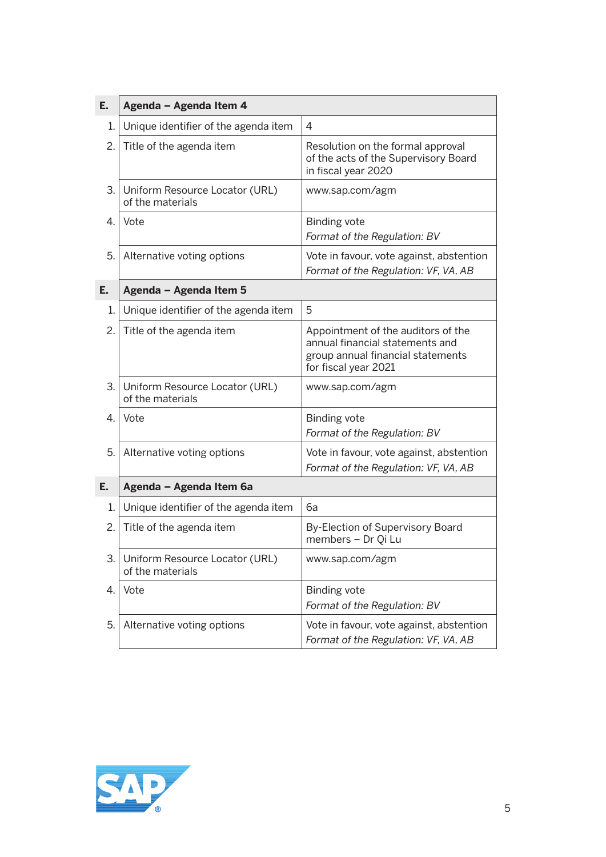| E. | Agenda - Agenda Item 4                             |                                                                                                                                    |
|----|----------------------------------------------------|------------------------------------------------------------------------------------------------------------------------------------|
| 1. | Unique identifier of the agenda item               | 4                                                                                                                                  |
| 2. | Title of the agenda item                           | Resolution on the formal approval<br>of the acts of the Supervisory Board<br>in fiscal year 2020                                   |
| 3. | Uniform Resource Locator (URL)<br>of the materials | www.sap.com/agm                                                                                                                    |
| 4. | Vote                                               | <b>Binding vote</b><br>Format of the Regulation: BV                                                                                |
| 5. | Alternative voting options                         | Vote in favour, vote against, abstention<br>Format of the Regulation: VF, VA, AB                                                   |
| Е. | Agenda - Agenda Item 5                             |                                                                                                                                    |
| 1. | Unique identifier of the agenda item               | 5                                                                                                                                  |
| 2. | Title of the agenda item                           | Appointment of the auditors of the<br>annual financial statements and<br>group annual financial statements<br>for fiscal year 2021 |
| 3. | Uniform Resource Locator (URL)<br>of the materials | www.sap.com/agm                                                                                                                    |
| 4. | Vote                                               | <b>Binding vote</b><br>Format of the Regulation: BV                                                                                |
| 5. | Alternative voting options                         | Vote in favour, vote against, abstention<br>Format of the Regulation: VF, VA, AB                                                   |
| Е. | Agenda - Agenda Item 6a                            |                                                                                                                                    |
| 1. | Unique identifier of the agenda item               | 6a                                                                                                                                 |
| 2. | Title of the agenda item                           | By-Election of Supervisory Board<br>members - Dr Qi Lu                                                                             |
| 3. | Uniform Resource Locator (URL)<br>of the materials | www.sap.com/agm                                                                                                                    |
| 4. | Vote                                               | <b>Binding vote</b><br>Format of the Regulation: BV                                                                                |
| 5. | Alternative voting options                         | Vote in favour, vote against, abstention<br>Format of the Regulation: VF, VA, AB                                                   |

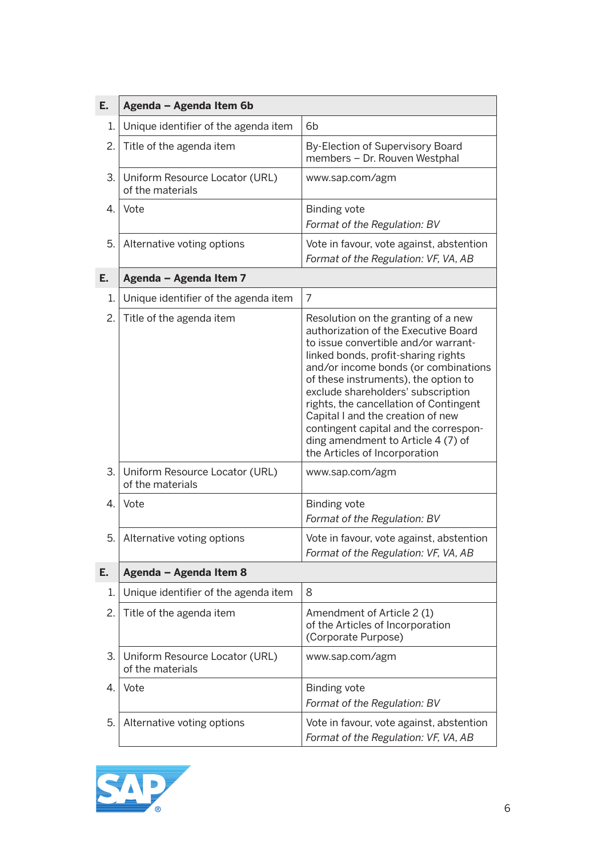| Ε. | Agenda - Agenda Item 6b                            |                                                                                                                                                                                                                                                                                                                                                                                                                                                                                 |  |
|----|----------------------------------------------------|---------------------------------------------------------------------------------------------------------------------------------------------------------------------------------------------------------------------------------------------------------------------------------------------------------------------------------------------------------------------------------------------------------------------------------------------------------------------------------|--|
| 1. | Unique identifier of the agenda item               | 6 <sub>b</sub>                                                                                                                                                                                                                                                                                                                                                                                                                                                                  |  |
| 2. | Title of the agenda item                           | By-Election of Supervisory Board<br>members - Dr. Rouven Westphal                                                                                                                                                                                                                                                                                                                                                                                                               |  |
| 3. | Uniform Resource Locator (URL)<br>of the materials | www.sap.com/agm                                                                                                                                                                                                                                                                                                                                                                                                                                                                 |  |
| 4. | Vote                                               | <b>Binding vote</b><br>Format of the Regulation: BV                                                                                                                                                                                                                                                                                                                                                                                                                             |  |
| 5. | Alternative voting options                         | Vote in favour, vote against, abstention<br>Format of the Regulation: VF, VA, AB                                                                                                                                                                                                                                                                                                                                                                                                |  |
| Е. | Agenda - Agenda Item 7                             |                                                                                                                                                                                                                                                                                                                                                                                                                                                                                 |  |
| 1. | Unique identifier of the agenda item               | 7                                                                                                                                                                                                                                                                                                                                                                                                                                                                               |  |
| 2. | Title of the agenda item                           | Resolution on the granting of a new<br>authorization of the Executive Board<br>to issue convertible and/or warrant-<br>linked bonds, profit-sharing rights<br>and/or income bonds (or combinations<br>of these instruments), the option to<br>exclude shareholders' subscription<br>rights, the cancellation of Contingent<br>Capital I and the creation of new<br>contingent capital and the correspon-<br>ding amendment to Article 4 (7) of<br>the Articles of Incorporation |  |
| 3. | Uniform Resource Locator (URL)<br>of the materials | www.sap.com/agm                                                                                                                                                                                                                                                                                                                                                                                                                                                                 |  |
| 4. | Vote                                               | <b>Binding vote</b><br>Format of the Regulation: BV                                                                                                                                                                                                                                                                                                                                                                                                                             |  |
| 5. | Alternative voting options                         | Vote in favour, vote against, abstention<br>Format of the Regulation: VF, VA, AB                                                                                                                                                                                                                                                                                                                                                                                                |  |
| Е. | Agenda - Agenda Item 8                             |                                                                                                                                                                                                                                                                                                                                                                                                                                                                                 |  |
| 1. | Unique identifier of the agenda item               | 8                                                                                                                                                                                                                                                                                                                                                                                                                                                                               |  |
| 2. | Title of the agenda item                           | Amendment of Article 2(1)<br>of the Articles of Incorporation<br>(Corporate Purpose)                                                                                                                                                                                                                                                                                                                                                                                            |  |
| 3. | Uniform Resource Locator (URL)<br>of the materials | www.sap.com/agm                                                                                                                                                                                                                                                                                                                                                                                                                                                                 |  |
| 4. | Vote                                               | <b>Binding vote</b><br>Format of the Regulation: BV                                                                                                                                                                                                                                                                                                                                                                                                                             |  |
| 5. | Alternative voting options                         | Vote in favour, vote against, abstention<br>Format of the Regulation: VF, VA, AB                                                                                                                                                                                                                                                                                                                                                                                                |  |

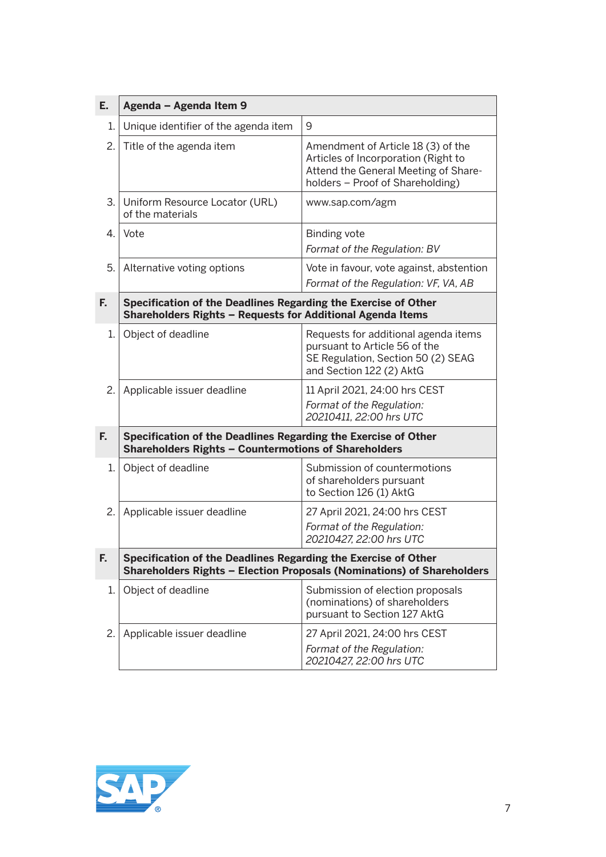| Ε. | Agenda - Agenda Item 9                                                                                                                   |                                                                                                                                                       |  |
|----|------------------------------------------------------------------------------------------------------------------------------------------|-------------------------------------------------------------------------------------------------------------------------------------------------------|--|
| 1. | Unique identifier of the agenda item                                                                                                     | 9                                                                                                                                                     |  |
| 2. | Title of the agenda item                                                                                                                 | Amendment of Article 18 (3) of the<br>Articles of Incorporation (Right to<br>Attend the General Meeting of Share-<br>holders - Proof of Shareholding) |  |
| 3. | Uniform Resource Locator (URL)<br>of the materials                                                                                       | www.sap.com/agm                                                                                                                                       |  |
| 4. | Vote                                                                                                                                     | <b>Binding vote</b><br>Format of the Regulation: BV                                                                                                   |  |
| 5. | Alternative voting options                                                                                                               | Vote in favour, vote against, abstention<br>Format of the Regulation: VF, VA, AB                                                                      |  |
| F. | Specification of the Deadlines Regarding the Exercise of Other<br>Shareholders Rights - Requests for Additional Agenda Items             |                                                                                                                                                       |  |
| 1. | Object of deadline                                                                                                                       | Requests for additional agenda items<br>pursuant to Article 56 of the<br>SE Regulation, Section 50 (2) SEAG<br>and Section 122 (2) AktG               |  |
| 2. | Applicable issuer deadline                                                                                                               | 11 April 2021, 24:00 hrs CEST<br>Format of the Regulation:<br>20210411, 22:00 hrs UTC                                                                 |  |
| F. | Specification of the Deadlines Regarding the Exercise of Other<br><b>Shareholders Rights - Countermotions of Shareholders</b>            |                                                                                                                                                       |  |
| 1. | Object of deadline                                                                                                                       | Submission of countermotions<br>of shareholders pursuant<br>to Section 126 (1) AktG                                                                   |  |
| 2. | Applicable issuer deadline                                                                                                               | 27 April 2021, 24:00 hrs CEST<br>Format of the Regulation:<br>20210427, 22:00 hrs UTC                                                                 |  |
| F. | Specification of the Deadlines Regarding the Exercise of Other<br>Shareholders Rights - Election Proposals (Nominations) of Shareholders |                                                                                                                                                       |  |
| 1. | Object of deadline                                                                                                                       | Submission of election proposals<br>(nominations) of shareholders<br>pursuant to Section 127 AktG                                                     |  |
| 2. | Applicable issuer deadline                                                                                                               | 27 April 2021, 24:00 hrs CEST<br>Format of the Regulation:<br>20210427, 22:00 hrs UTC                                                                 |  |